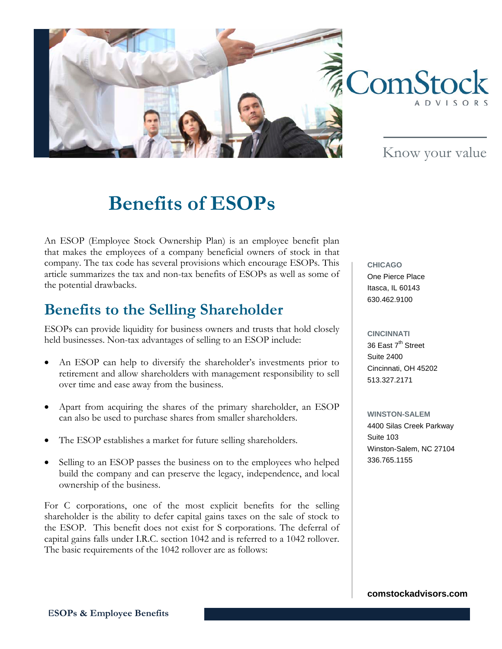

# **Benefits of ESOPs**

An ESOP (Employee Stock Ownership Plan) is an employee benefit plan that makes the employees of a company beneficial owners of stock in that company. The tax code has several provisions which encourage ESOPs. This article summarizes the tax and non-tax benefits of ESOPs as well as some of the potential drawbacks.

## **Benefits to the Selling Shareholder**

ESOPs can provide liquidity for business owners and trusts that hold closely held businesses. Non-tax advantages of selling to an ESOP include:

- An ESOP can help to diversify the shareholder's investments prior to retirement and allow shareholders with management responsibility to sell over time and ease away from the business.
- Apart from acquiring the shares of the primary shareholder, an ESOP can also be used to purchase shares from smaller shareholders.
- The ESOP establishes a market for future selling shareholders.
- Selling to an ESOP passes the business on to the employees who helped build the company and can preserve the legacy, independence, and local ownership of the business.

For C corporations, one of the most explicit benefits for the selling shareholder is the ability to defer capital gains taxes on the sale of stock to the ESOP. This benefit does not exist for S corporations. The deferral of capital gains falls under I.R.C. section 1042 and is referred to a 1042 rollover. The basic requirements of the 1042 rollover are as follows:

**CHICAGO** One Pierce Place Itasca, IL 60143 630.462.9100

**CINCINNATI** 36 East 7<sup>th</sup> Street Suite 2400 Cincinnati, OH 45202 513.327.2171

**WINSTON-SALEM** 4400 Silas Creek Parkway Suite 103 Winston-Salem, NC 27104 336.765.1155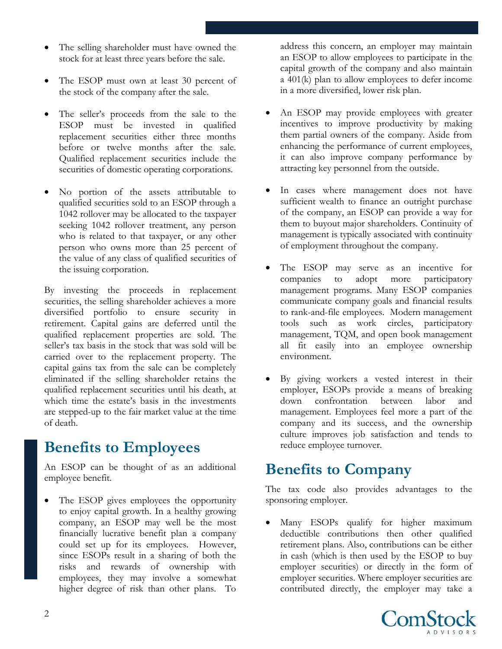- The selling shareholder must have owned the stock for at least three years before the sale.
- The ESOP must own at least 30 percent of the stock of the company after the sale.
- The seller's proceeds from the sale to the ESOP must be invested in qualified replacement securities either three months before or twelve months after the sale. Qualified replacement securities include the securities of domestic operating corporations.
- No portion of the assets attributable to qualified securities sold to an ESOP through a 1042 rollover may be allocated to the taxpayer seeking 1042 rollover treatment, any person who is related to that taxpayer, or any other person who owns more than 25 percent of the value of any class of qualified securities of the issuing corporation.

By investing the proceeds in replacement securities, the selling shareholder achieves a more diversified portfolio to ensure security in retirement. Capital gains are deferred until the qualified replacement properties are sold. The seller's tax basis in the stock that was sold will be carried over to the replacement property. The capital gains tax from the sale can be completely eliminated if the selling shareholder retains the qualified replacement securities until his death, at which time the estate's basis in the investments are stepped-up to the fair market value at the time of death.

### **Benefits to Employees**

An ESOP can be thought of as an additional employee benefit.

The ESOP gives employees the opportunity to enjoy capital growth. In a healthy growing company, an ESOP may well be the most financially lucrative benefit plan a company could set up for its employees. However, since ESOPs result in a sharing of both the risks and rewards of ownership with employees, they may involve a somewhat higher degree of risk than other plans. To

address this concern, an employer may maintain an ESOP to allow employees to participate in the capital growth of the company and also maintain a 401(k) plan to allow employees to defer income in a more diversified, lower risk plan.

- An ESOP may provide employees with greater incentives to improve productivity by making them partial owners of the company. Aside from enhancing the performance of current employees, it can also improve company performance by attracting key personnel from the outside.
- In cases where management does not have sufficient wealth to finance an outright purchase of the company, an ESOP can provide a way for them to buyout major shareholders. Continuity of management is typically associated with continuity of employment throughout the company.
- The ESOP may serve as an incentive for companies to adopt more participatory management programs. Many ESOP companies communicate company goals and financial results to rank-and-file employees. Modern management tools such as work circles, participatory management, TQM, and open book management all fit easily into an employee ownership environment.
- By giving workers a vested interest in their employer, ESOPs provide a means of breaking down confrontation between labor and management. Employees feel more a part of the company and its success, and the ownership culture improves job satisfaction and tends to reduce employee turnover.

# **Benefits to Company**

The tax code also provides advantages to the sponsoring employer.

• Many ESOPs qualify for higher maximum deductible contributions then other qualified retirement plans. Also, contributions can be either in cash (which is then used by the ESOP to buy employer securities) or directly in the form of employer securities. Where employer securities are contributed directly, the employer may take a

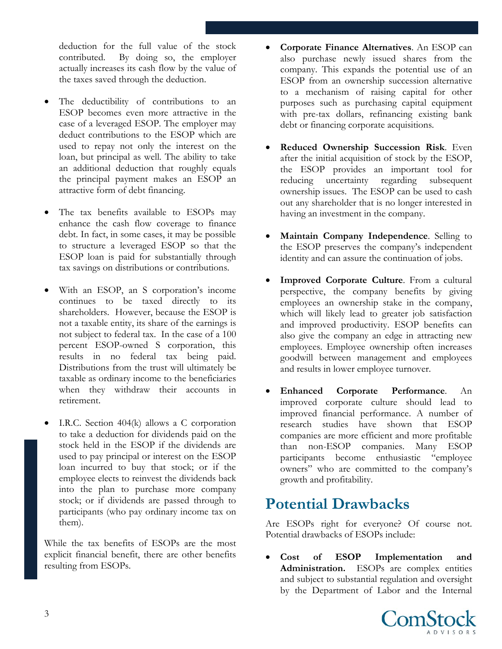deduction for the full value of the stock contributed. By doing so, the employer actually increases its cash flow by the value of the taxes saved through the deduction.

- The deductibility of contributions to an ESOP becomes even more attractive in the case of a leveraged ESOP. The employer may deduct contributions to the ESOP which are used to repay not only the interest on the loan, but principal as well. The ability to take an additional deduction that roughly equals the principal payment makes an ESOP an attractive form of debt financing.
- The tax benefits available to ESOPs may enhance the cash flow coverage to finance debt. In fact, in some cases, it may be possible to structure a leveraged ESOP so that the ESOP loan is paid for substantially through tax savings on distributions or contributions.
- With an ESOP, an S corporation's income continues to be taxed directly to its shareholders. However, because the ESOP is not a taxable entity, its share of the earnings is not subject to federal tax. In the case of a 100 percent ESOP-owned S corporation, this results in no federal tax being paid. Distributions from the trust will ultimately be taxable as ordinary income to the beneficiaries when they withdraw their accounts in retirement.
- I.R.C. Section 404(k) allows a C corporation to take a deduction for dividends paid on the stock held in the ESOP if the dividends are used to pay principal or interest on the ESOP loan incurred to buy that stock; or if the employee elects to reinvest the dividends back into the plan to purchase more company stock; or if dividends are passed through to participants (who pay ordinary income tax on them).

While the tax benefits of ESOPs are the most explicit financial benefit, there are other benefits resulting from ESOPs.

- **Corporate Finance Alternatives**. An ESOP can also purchase newly issued shares from the company. This expands the potential use of an ESOP from an ownership succession alternative to a mechanism of raising capital for other purposes such as purchasing capital equipment with pre-tax dollars, refinancing existing bank debt or financing corporate acquisitions.
- **Reduced Ownership Succession Risk**. Even after the initial acquisition of stock by the ESOP, the ESOP provides an important tool for reducing uncertainty regarding subsequent ownership issues. The ESOP can be used to cash out any shareholder that is no longer interested in having an investment in the company.
- **Maintain Company Independence**. Selling to the ESOP preserves the company's independent identity and can assure the continuation of jobs.
- **Improved Corporate Culture**. From a cultural perspective, the company benefits by giving employees an ownership stake in the company, which will likely lead to greater job satisfaction and improved productivity. ESOP benefits can also give the company an edge in attracting new employees. Employee ownership often increases goodwill between management and employees and results in lower employee turnover.
- **Enhanced Corporate Performance**. An improved corporate culture should lead to improved financial performance. A number of research studies have shown that ESOP companies are more efficient and more profitable than non-ESOP companies. Many ESOP participants become enthusiastic "employee owners" who are committed to the company's growth and profitability.

# **Potential Drawbacks**

Are ESOPs right for everyone? Of course not. Potential drawbacks of ESOPs include:

• **Cost of ESOP Implementation and**  Administration. ESOPs are complex entities and subject to substantial regulation and oversight by the Department of Labor and the Internal

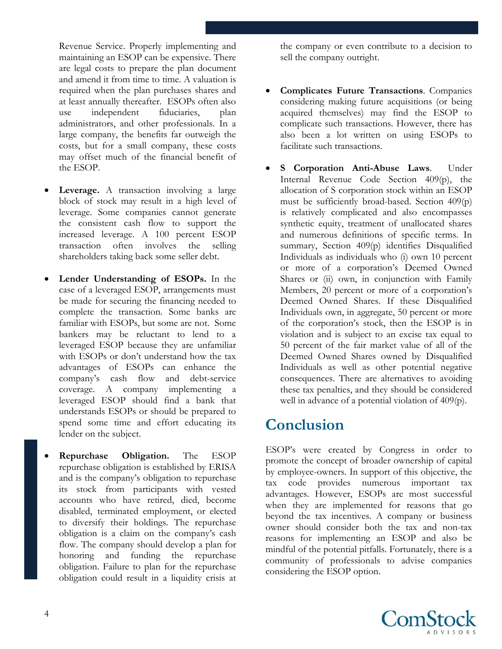Revenue Service. Properly implementing and maintaining an ESOP can be expensive. There are legal costs to prepare the plan document and amend it from time to time. A valuation is required when the plan purchases shares and at least annually thereafter. ESOPs often also use independent fiduciaries, plan administrators, and other professionals. In a large company, the benefits far outweigh the costs, but for a small company, these costs may offset much of the financial benefit of the ESOP.

- **Leverage.** A transaction involving a large block of stock may result in a high level of leverage. Some companies cannot generate the consistent cash flow to support the increased leverage. A 100 percent ESOP transaction often involves the selling shareholders taking back some seller debt.
- **Lender Understanding of ESOPs.** In the case of a leveraged ESOP, arrangements must be made for securing the financing needed to complete the transaction. Some banks are familiar with ESOPs, but some are not. Some bankers may be reluctant to lend to a leveraged ESOP because they are unfamiliar with ESOPs or don't understand how the tax advantages of ESOPs can enhance the<br>company's cash flow and debt-service flow and debt-service coverage. A company implementing a leveraged ESOP should find a bank that understands ESOPs or should be prepared to spend some time and effort educating its lender on the subject.
- **Repurchase Obligation.** The ESOP repurchase obligation is established by ERISA and is the company's obligation to repurchase its stock from participants with vested accounts who have retired, died, become disabled, terminated employment, or elected to diversify their holdings. The repurchase obligation is a claim on the company's cash flow. The company should develop a plan for honoring and funding the repurchase obligation. Failure to plan for the repurchase obligation could result in a liquidity crisis at

the company or even contribute to a decision to sell the company outright.

- **Complicates Future Transactions**. Companies considering making future acquisitions (or being acquired themselves) may find the ESOP to complicate such transactions. However, there has also been a lot written on using ESOPs to facilitate such transactions.
- **S Corporation Anti-Abuse Laws**. Under Internal Revenue Code Section 409(p), the allocation of S corporation stock within an ESOP must be sufficiently broad-based. Section 409(p) is relatively complicated and also encompasses synthetic equity, treatment of unallocated shares and numerous definitions of specific terms. In summary, Section 409(p) identifies Disqualified Individuals as individuals who (i) own 10 percent or more of a corporation's Deemed Owned Shares or (ii) own, in conjunction with Family Members, 20 percent or more of a corporation's Deemed Owned Shares. If these Disqualified Individuals own, in aggregate, 50 percent or more of the corporation's stock, then the ESOP is in violation and is subject to an excise tax equal to 50 percent of the fair market value of all of the Deemed Owned Shares owned by Disqualified Individuals as well as other potential negative consequences. There are alternatives to avoiding these tax penalties, and they should be considered well in advance of a potential violation of 409(p).

### **Conclusion**

ESOP's were created by Congress in order to promote the concept of broader ownership of capital by employee-owners. In support of this objective, the tax code provides numerous important tax advantages. However, ESOPs are most successful when they are implemented for reasons that go beyond the tax incentives. A company or business owner should consider both the tax and non-tax reasons for implementing an ESOP and also be mindful of the potential pitfalls. Fortunately, there is a community of professionals to advise companies considering the ESOP option.